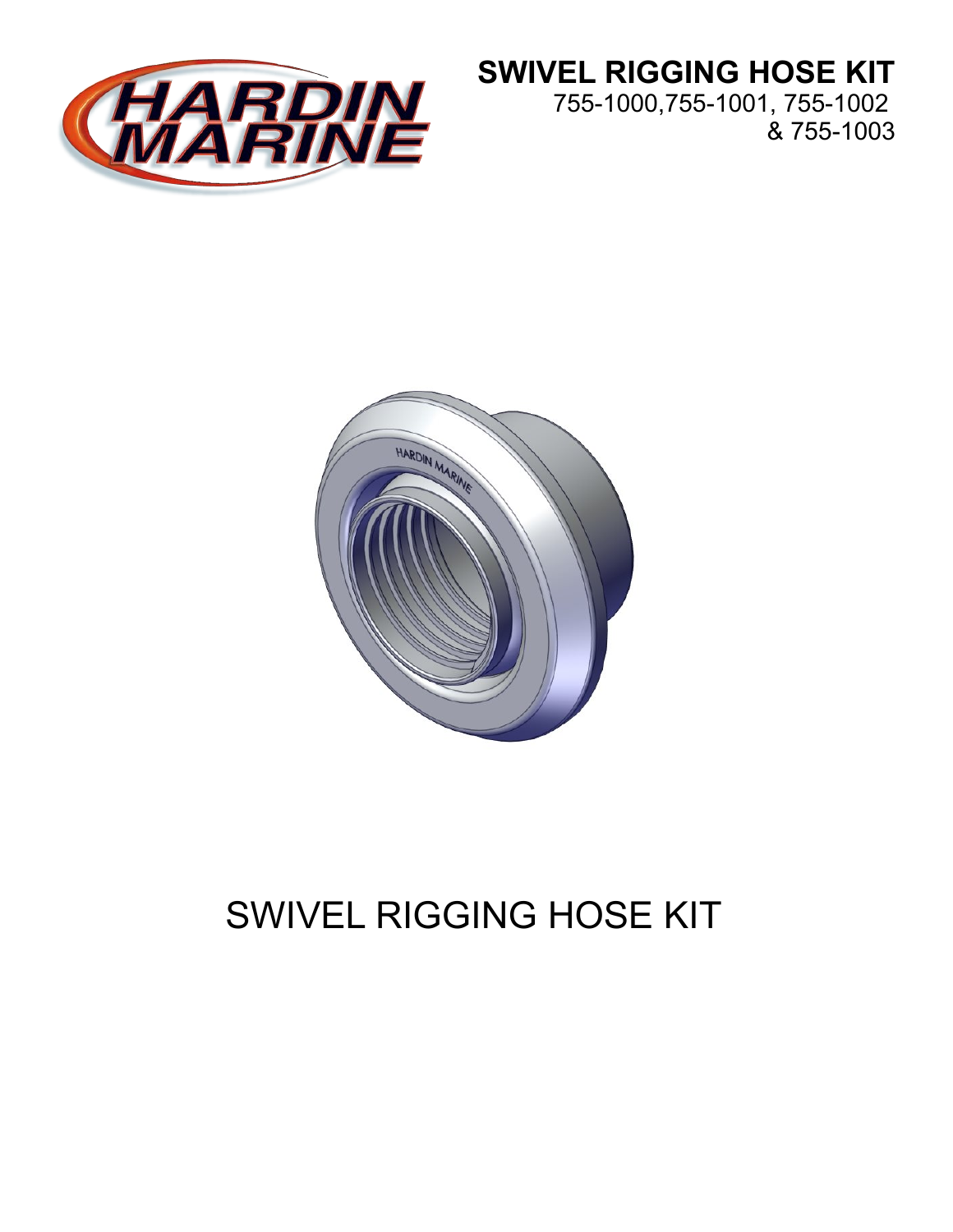

## **SWIVEL RIGGING HOSE KIT**

755-1000,755-1001, 755-1002 & 755-1003



# SWIVEL RIGGING HOSE KIT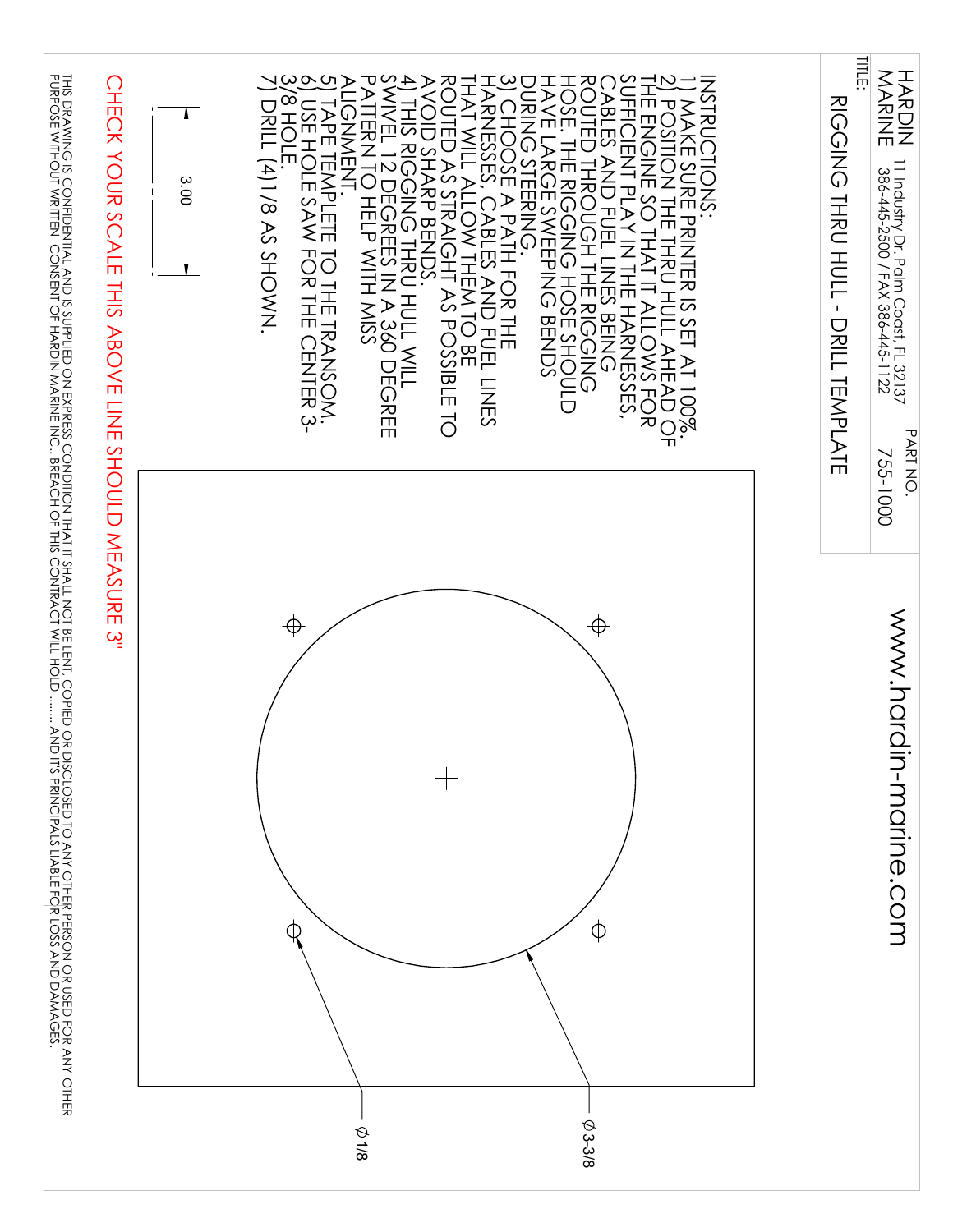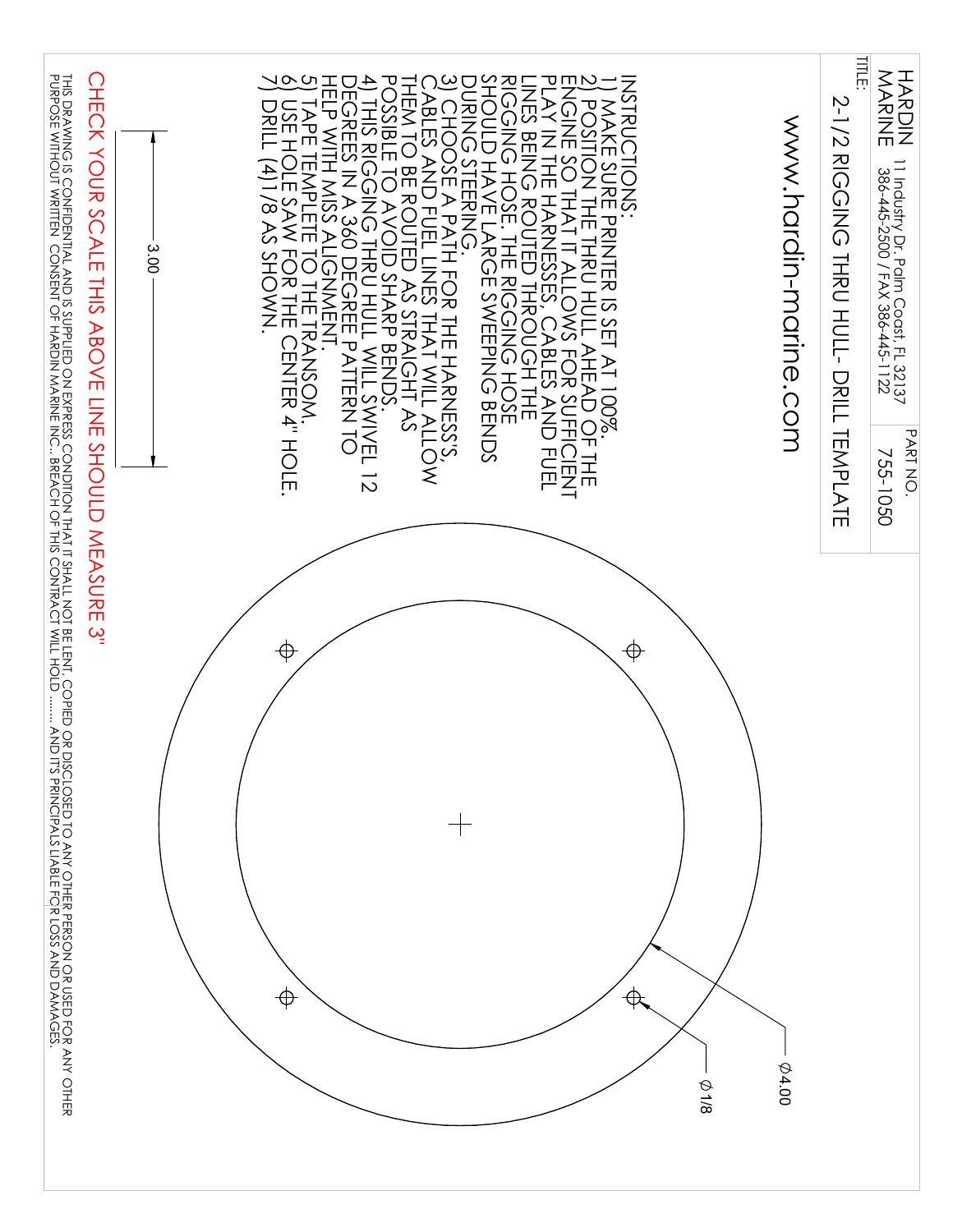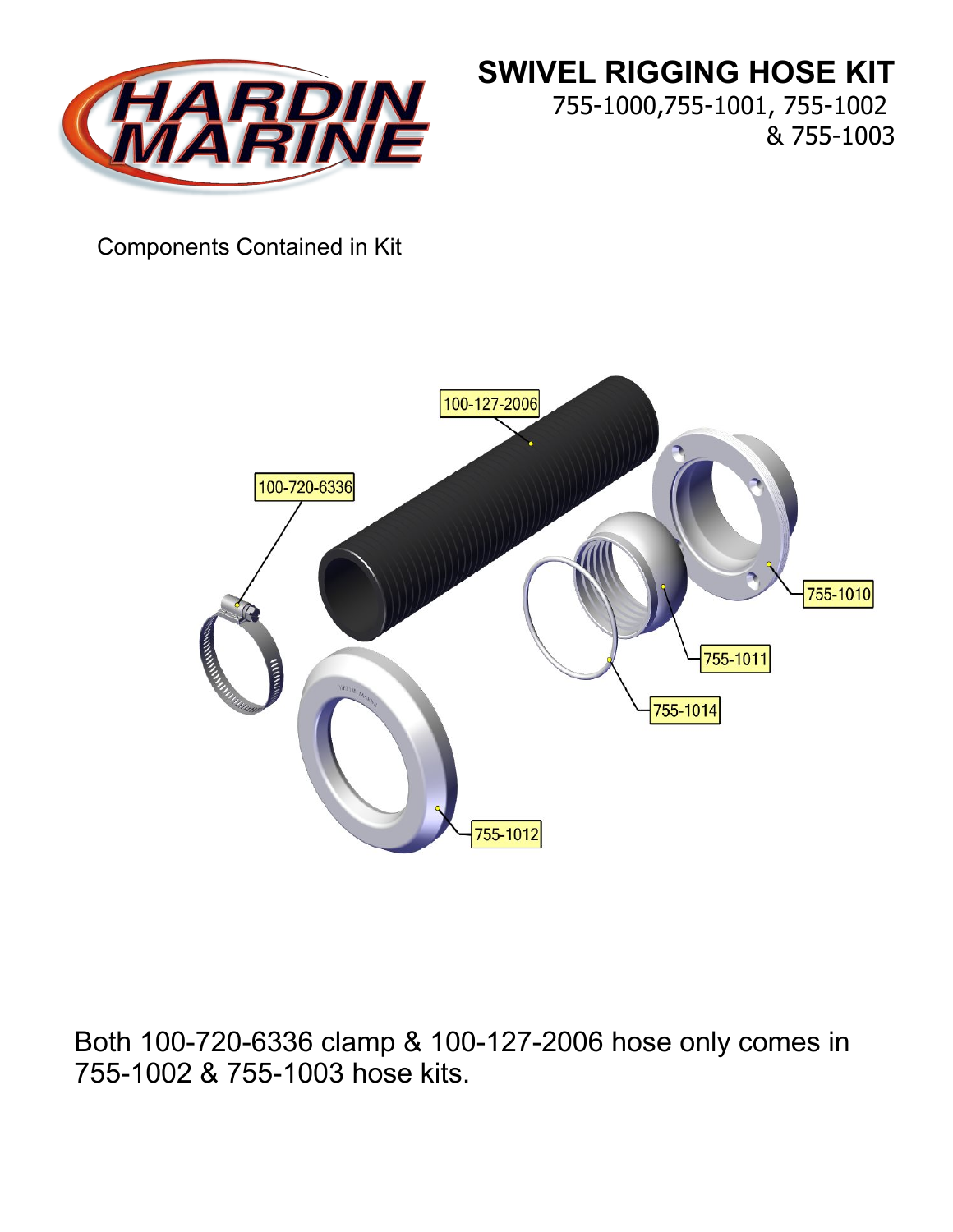

**SWIVEL RIGGING HOSE KIT** 755-1000,755-1001, 755-1002 & 755-1003

#### Components Contained in Kit



Both 100-720-6336 clamp & 100-127-2006 hose only comes in 755-1002 & 755-1003 hose kits.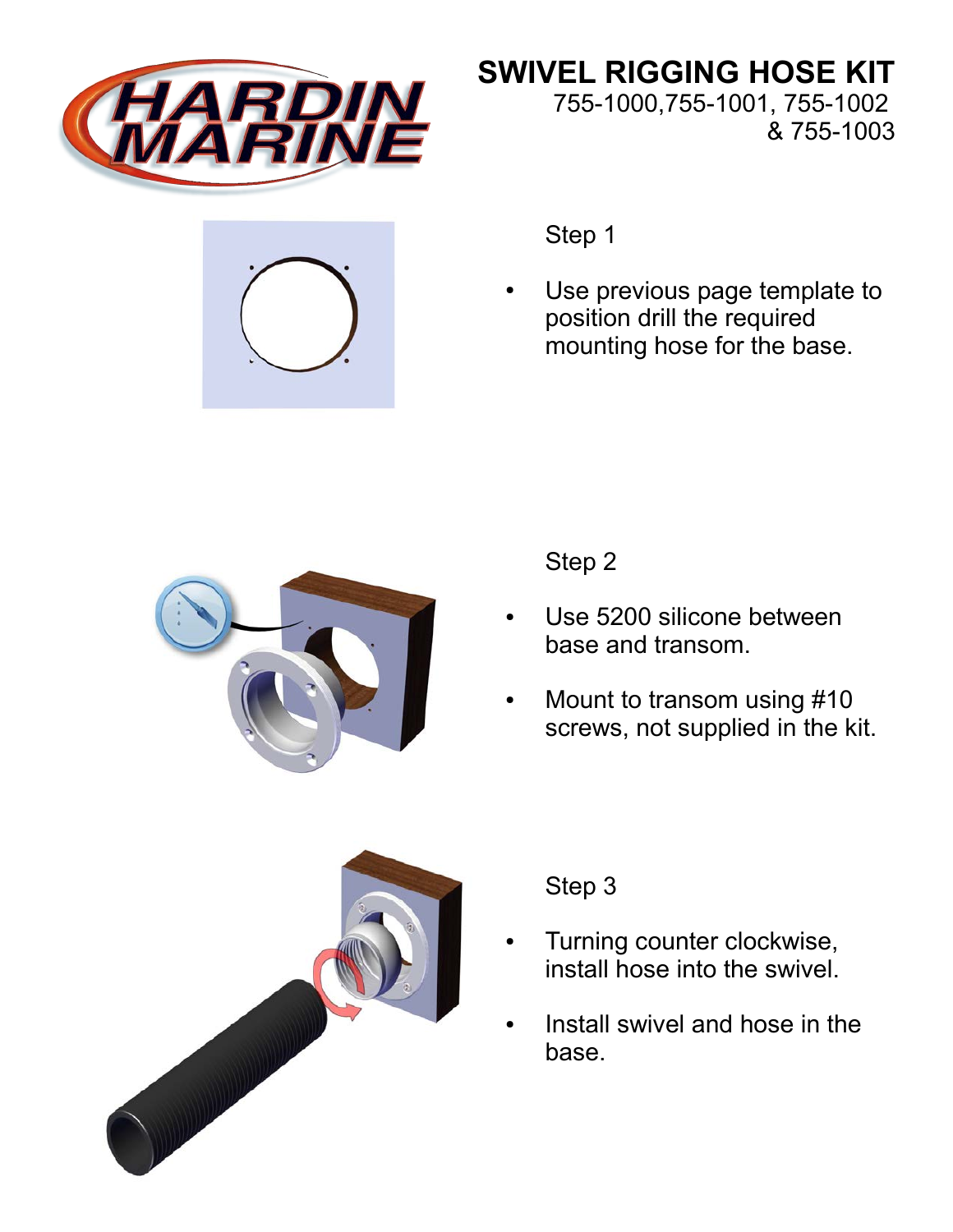



**SWIVEL RIGGING HOSE KIT** 755-1000,755-1001, 755-1002 & 755-1003

Step 1

Use previous page template to position drill the required mounting hose for the base.



Step 2

- Use 5200 silicone between base and transom.
- Mount to transom using #10 screws, not supplied in the kit.



#### Step 3

- Turning counter clockwise, install hose into the swivel.
- Install swivel and hose in the base.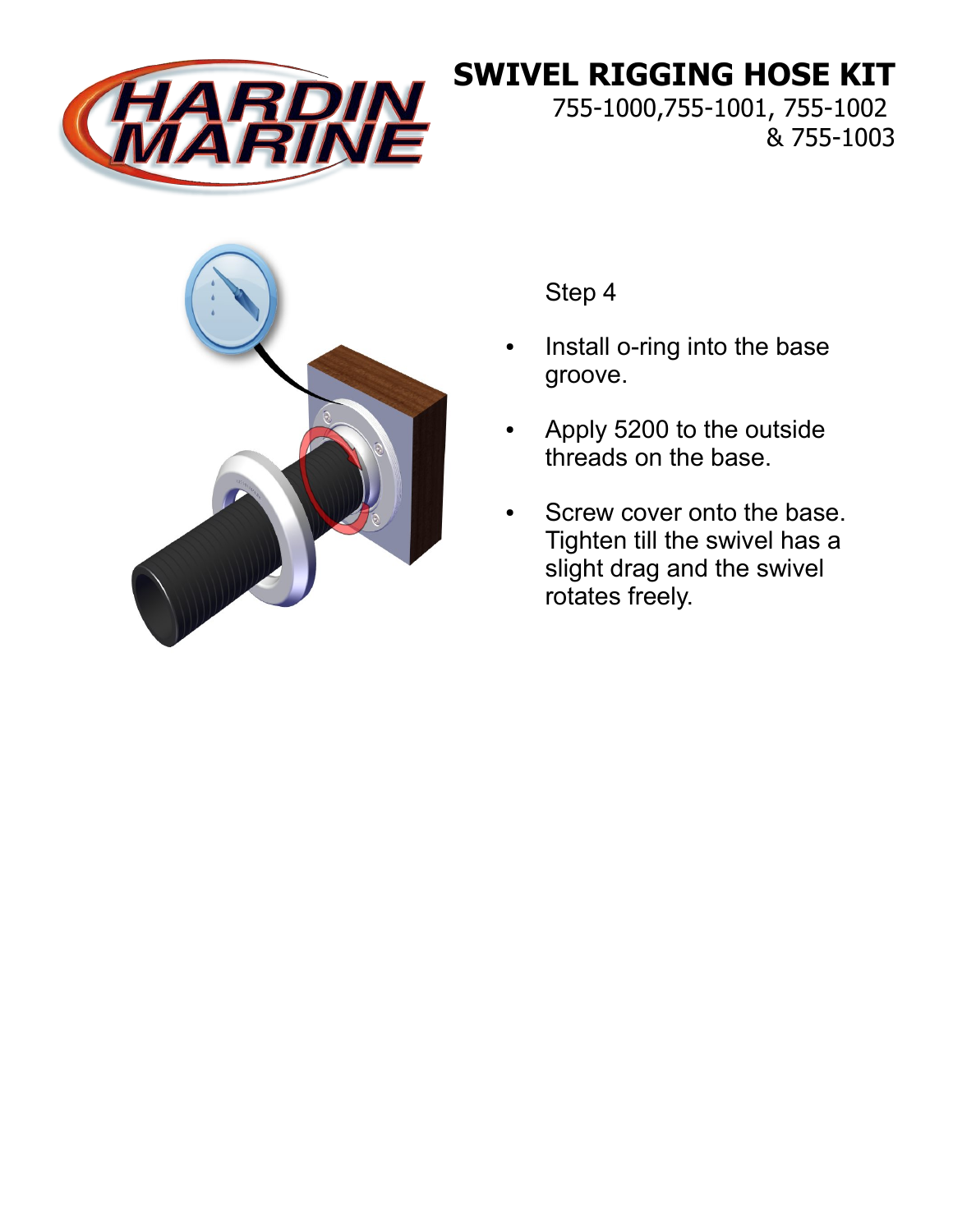

### **SWIVEL RIGGING HOSE KIT**

755-1000,755-1001, 755-1002 & 755-1003



Step 4

- Install o-ring into the base groove.
- Apply 5200 to the outside threads on the base.
- Screw cover onto the base. Tighten till the swivel has a slight drag and the swivel rotates freely.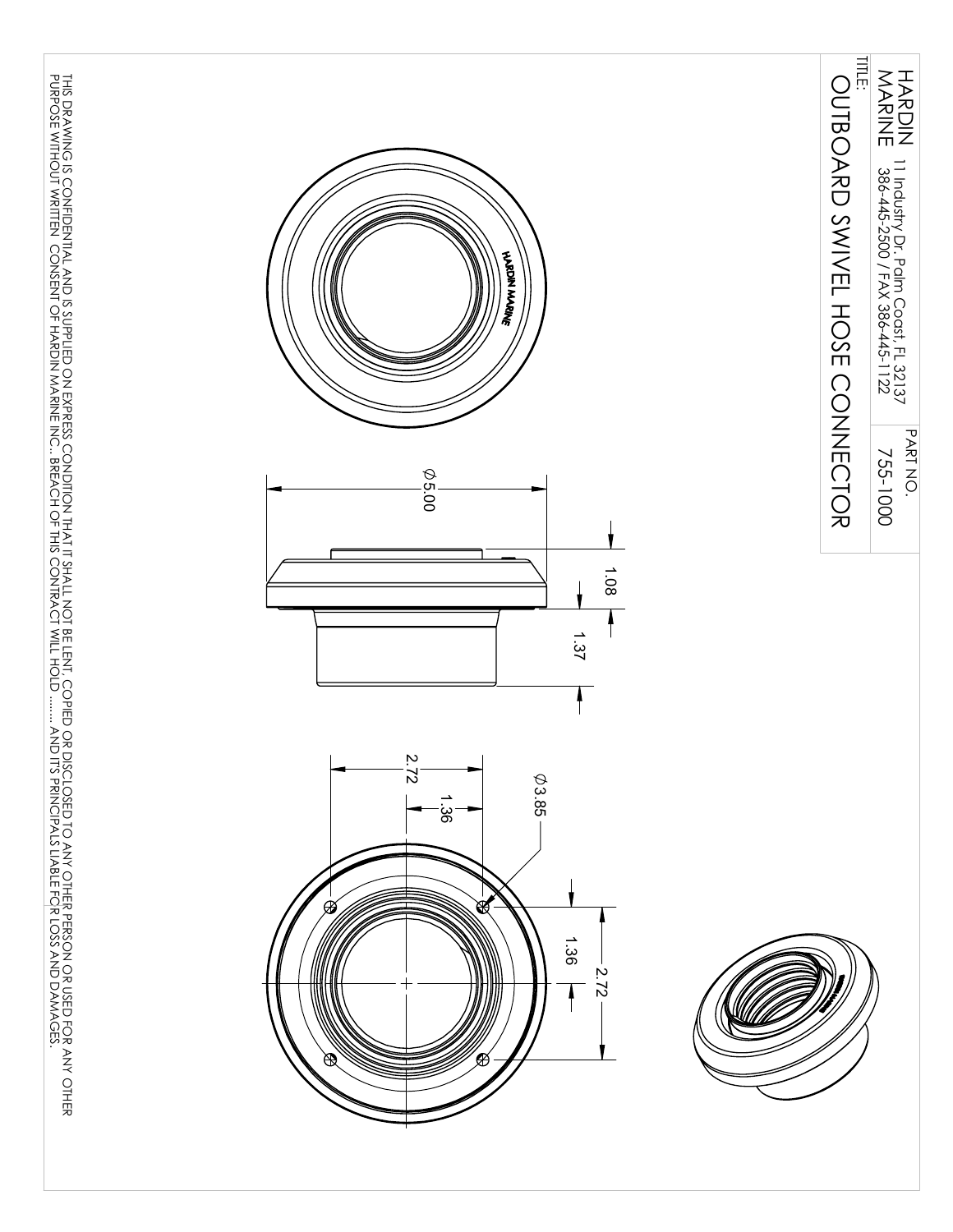